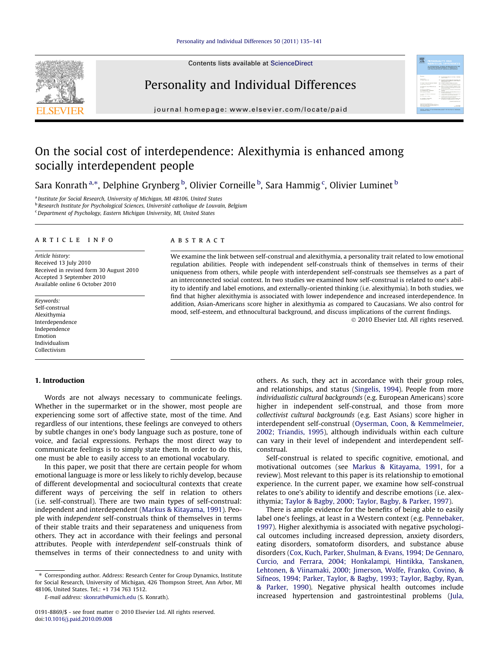## [Personality and Individual Differences 50 \(2011\) 135–141](http://dx.doi.org/10.1016/j.paid.2010.09.008)



<span id="page-0-0"></span>

# Personality and Individual Differences

journal homepage: [www.elsevier.com/locate/paid](http://www.elsevier.com/locate/paid)

# On the social cost of interdependence: Alexithymia is enhanced among socially interdependent people

Sara Konrath<sup>a,</sup>\*, Delphine Grynberg <sup>b</sup>, Olivier Corneille <sup>b</sup>, Sara Hammig <sup>c</sup>, Olivier Luminet <sup>b</sup>

<sup>a</sup> Institute for Social Research, University of Michigan, MI 48106, United States

<sup>b</sup> Research Institute for Psychological Sciences, Université catholique de Louvain, Belgium

<sup>c</sup> Department of Psychology, Eastern Michigan University, MI, United States

# article info

Article history: Received 13 July 2010 Received in revised form 30 August 2010 Accepted 3 September 2010 Available online 6 October 2010

Keywords: Self-construal Alexithymia Interdependence Independence Emotion Individualism Collectivism

## 1. Introduction

Words are not always necessary to communicate feelings. Whether in the supermarket or in the shower, most people are experiencing some sort of affective state, most of the time. And regardless of our intentions, these feelings are conveyed to others by subtle changes in one's body language such as posture, tone of voice, and facial expressions. Perhaps the most direct way to communicate feelings is to simply state them. In order to do this, one must be able to easily access to an emotional vocabulary.

In this paper, we posit that there are certain people for whom emotional language is more or less likely to richly develop, because of different developmental and sociocultural contexts that create different ways of perceiving the self in relation to others (i.e. self-construal). There are two main types of self-construal: independent and interdependent [\(Markus & Kitayama, 1991\)](#page-6-0). People with independent self-construals think of themselves in terms of their stable traits and their separateness and uniqueness from others. They act in accordance with their feelings and personal attributes. People with interdependent self-construals think of themselves in terms of their connectedness to and unity with

⇑ Corresponding author. Address: Research Center for Group Dynamics, Institute for Social Research, University of Michigan, 426 Thompson Street, Ann Arbor, MI 48106, United States. Tel.: +1 734 763 1512.

E-mail address: [skonrath@umich.edu](mailto:skonrath@umich.edu) (S. Konrath).

#### **ABSTRACT**

We examine the link between self-construal and alexithymia, a personality trait related to low emotional regulation abilities. People with independent self-construals think of themselves in terms of their uniqueness from others, while people with interdependent self-construals see themselves as a part of an interconnected social context. In two studies we examined how self-construal is related to one's ability to identify and label emotions, and externally-oriented thinking (i.e. alexithymia). In both studies, we find that higher alexithymia is associated with lower independence and increased interdependence. In addition, Asian-Americans score higher in alexithymia as compared to Caucasians. We also control for mood, self-esteem, and ethnocultural background, and discuss implications of the current findings.

- 2010 Elsevier Ltd. All rights reserved.

**MONTO CONSTANTO** 

others. As such, they act in accordance with their group roles, and relationships, and status [\(Singelis, 1994\)](#page-6-0). People from more individualistic cultural backgrounds (e.g. European Americans) score higher in independent self-construal, and those from more collectivist cultural backgrounds (e.g. East Asians) score higher in interdependent self-construal ([Oyserman, Coon, & Kemmelmeier,](#page-6-0) [2002; Triandis, 1995\)](#page-6-0), although individuals within each culture can vary in their level of independent and interdependent selfconstrual.

Self-construal is related to specific cognitive, emotional, and motivational outcomes (see [Markus & Kitayama, 1991,](#page-6-0) for a review). Most relevant to this paper is its relationship to emotional experience. In the current paper, we examine how self-construal relates to one's ability to identify and describe emotions (i.e. alexithymia; [Taylor & Bagby, 2000; Taylor, Bagby, & Parker, 1997\)](#page-6-0).

There is ample evidence for the benefits of being able to easily label one's feelings, at least in a Western context (e.g. [Pennebaker,](#page-6-0) [1997\)](#page-6-0). Higher alexithymia is associated with negative psychological outcomes including increased depression, anxiety disorders, eating disorders, somatoform disorders, and substance abuse disorders ([Cox, Kuch, Parker, Shulman, & Evans, 1994; De Gennaro,](#page-5-0) [Curcio, and Ferrara, 2004; Honkalampi, Hintikka, Tanskanen,](#page-5-0) [Lehtonen, & Viinamaki, 2000; Jimerson, Wolfe, Franko, Covino, &](#page-5-0) [Sifneos, 1994; Parker, Taylor, & Bagby, 1993; Taylor, Bagby, Ryan,](#page-5-0) [& Parker, 1990\)](#page-5-0). Negative physical health outcomes include increased hypertension and gastrointestinal problems [\(Jula,](#page-5-0)

<sup>0191-8869/\$ -</sup> see front matter © 2010 Elsevier Ltd. All rights reserved. doi[:10.1016/j.paid.2010.09.008](http://dx.doi.org/10.1016/j.paid.2010.09.008)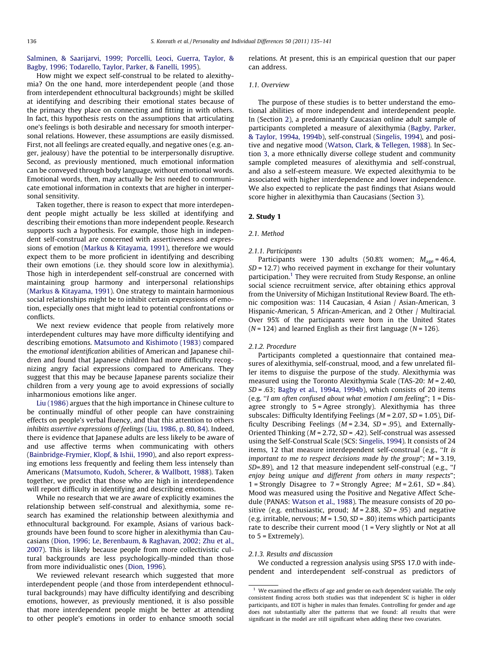<span id="page-1-0"></span>[Salminen, & Saarijarvi, 1999; Porcelli, Leoci, Guerra, Taylor, &](#page-5-0) [Bagby, 1996; Todarello, Taylor, Parker, & Fanelli, 1995\)](#page-5-0).

# How might we expect self-construal to be related to alexithymia? On the one hand, more interdependent people (and those from interdependent ethnocultural backgrounds) might be skilled at identifying and describing their emotional states because of the primacy they place on connecting and fitting in with others. In fact, this hypothesis rests on the assumptions that articulating one's feelings is both desirable and necessary for smooth interpersonal relations. However, these assumptions are easily dismissed. First, not all feelings are created equally, and negative ones (e.g. anger, jealousy) have the potential to be interpersonally disruptive. Second, as previously mentioned, much emotional information can be conveyed through body language, without emotional words. Emotional words, then, may actually be less needed to communicate emotional information in contexts that are higher in interpersonal sensitivity.

Taken together, there is reason to expect that more interdependent people might actually be less skilled at identifying and describing their emotions than more independent people. Research supports such a hypothesis. For example, those high in independent self-construal are concerned with assertiveness and expressions of emotion [\(Markus & Kitayama, 1991\)](#page-6-0), therefore we would expect them to be more proficient in identifying and describing their own emotions (i.e. they should score low in alexithymia). Those high in interdependent self-construal are concerned with maintaining group harmony and interpersonal relationships ([Markus & Kitayama, 1991\)](#page-6-0). One strategy to maintain harmonious social relationships might be to inhibit certain expressions of emotion, especially ones that might lead to potential confrontations or conflicts.

We next review evidence that people from relatively more interdependent cultures may have more difficulty identifying and describing emotions. [Matsumoto and Kishimoto \(1983\)](#page-6-0) compared the emotional identification abilities of American and Japanese children and found that Japanese children had more difficulty recognizing angry facial expressions compared to Americans. They suggest that this may be because Japanese parents socialize their children from a very young age to avoid expressions of socially inharmonious emotions like anger.

[Liu \(1986\)](#page-6-0) argues that the high importance in Chinese culture to be continually mindful of other people can have constraining effects on people's verbal fluency, and that this attention to others inhibits assertive expressions of feelings ([Liu, 1986, p. 80, 84](#page-6-0)). Indeed, there is evidence that Japanese adults are less likely to be aware of and use affective terms when communicating with others ([Bainbridge-Frymier, Klopf, & Ishii, 1990](#page-5-0)), and also report expressing emotions less frequently and feeling them less intensely than Americans [\(Matsumoto, Kudoh, Scherer, & Wallbott, 1988\)](#page-6-0). Taken together, we predict that those who are high in interdependence will report difficulty in identifying and describing emotions.

While no research that we are aware of explicitly examines the relationship between self-construal and alexithymia, some research has examined the relationship between alexithymia and ethnocultural background. For example, Asians of various backgrounds have been found to score higher in alexithymia than Caucasians [\(Dion, 1996; Le, Berenbaum, & Raghavan, 2002; Zhu et al.,](#page-5-0) [2007\)](#page-5-0). This is likely because people from more collectivistic cultural backgrounds are less psychologically-minded than those from more individualistic ones [\(Dion, 1996\)](#page-5-0).

We reviewed relevant research which suggested that more interdependent people (and those from interdependent ethnocultural backgrounds) may have difficulty identifying and describing emotions, however, as previously mentioned, it is also possible that more interdependent people might be better at attending to other people's emotions in order to enhance smooth social relations. At present, this is an empirical question that our paper can address.

#### 1.1. Overview

The purpose of these studies is to better understand the emotional abilities of more independent and interdependent people. In (Section 2), a predominantly Caucasian online adult sample of participants completed a measure of alexithymia ([Bagby, Parker,](#page-5-0) [& Taylor, 1994a, 1994b\)](#page-5-0), self-construal [\(Singelis, 1994](#page-6-0)), and positive and negative mood ([Watson, Clark, & Tellegen, 1988](#page-6-0)). In Section [3,](#page-2-0) a more ethnically diverse college student and community sample completed measures of alexithymia and self-construal, and also a self-esteem measure. We expected alexithymia to be associated with higher interdependence and lower independence. We also expected to replicate the past findings that Asians would score higher in alexithymia than Caucasians (Section [3](#page-2-0)).

## 2. Study 1

#### 2.1. Method

#### 2.1.1. Participants

Participants were 130 adults (50.8% women;  $M_{\text{age}} = 46.4$ ,  $SD = 12.7$ ) who received payment in exchange for their voluntary participation.<sup>1</sup> They were recruited from Study Response, an online social science recruitment service, after obtaining ethics approval from the University of Michigan Institutional Review Board. The ethnic composition was: 114 Caucasian, 4 Asian / Asian-American, 3 Hispanic-American, 5 African-American, and 2 Other / Multiracial. Over 95% of the participants were born in the United States  $(N = 124)$  and learned English as their first language  $(N = 126)$ .

## 2.1.2. Procedure

Participants completed a questionnaire that contained measures of alexithymia, self-construal, mood, and a few unrelated filler items to disguise the purpose of the study. Alexithymia was measured using the Toronto Alexithymia Scale (TAS-20: M = 2.40, SD = .63; [Bagby et al., 1994a, 1994b\)](#page-5-0), which consists of 20 items (e.g. ''I am often confused about what emotion I am feeling"; 1 = Disagree strongly to 5 = Agree strongly). Alexithymia has three subscales: Difficulty Identifying Feelings (M = 2.07, SD = 1.05), Difficulty Describing Feelings ( $M = 2.34$ ,  $SD = .95$ ), and Externally-Oriented Thinking ( $M = 2.72$ ,  $SD = .42$ ). Self-construal was assessed using the Self-Construal Scale (SCS: [Singelis, 1994\)](#page-6-0). It consists of 24 items, 12 that measure interdependent self-construal (e.g., ''It is important to me to respect decisions made by the group"; M = 3.19, SD=.89), and 12 that measure independent self-construal (e.g., ''I enjoy being unique and different from others in many respects"; 1 = Strongly Disagree to  $7$  = Strongly Agree;  $M = 2.61$ ,  $SD = .84$ ). Mood was measured using the Positive and Negative Affect Schedule (PANAS: [Watson et al., 1988\)](#page-6-0). The measure consists of 20 positive (e.g. enthusiastic, proud;  $M = 2.88$ ,  $SD = .95$ ) and negative (e.g. irritable, nervous;  $M = 1.50$ ,  $SD = .80$ ) items which participants rate to describe their current mood (1 = Very slightly or Not at all to  $5$  = Extremely).

#### 2.1.3. Results and discussion

We conducted a regression analysis using SPSS 17.0 with independent and interdependent self-construal as predictors of

 $1$  We examined the effects of age and gender on each dependent variable. The only consistent finding across both studies was that independent SC is higher in older participants, and EOT is higher in males than females. Controlling for gender and age does not substantially alter the patterns that we found: all results that were significant in the model are still significant when adding these two covariates.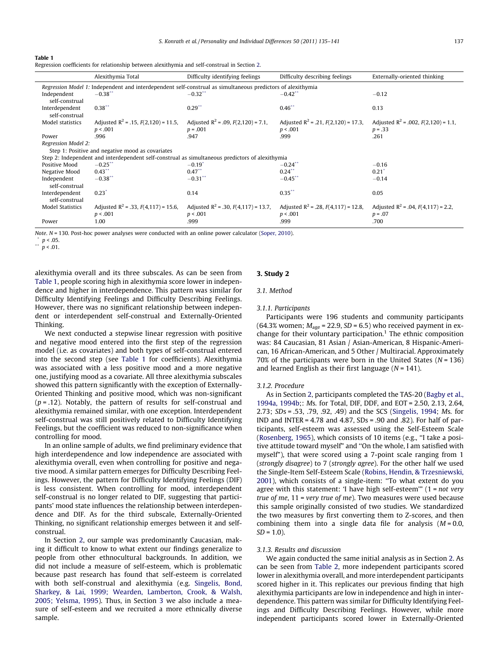#### <span id="page-2-0"></span>Table 1

| Regression coefficients for relationship between alexithymia and self-construal in Section 2. |  |  |
|-----------------------------------------------------------------------------------------------|--|--|
|                                                                                               |  |  |
|                                                                                               |  |  |

|                                                                                                             | Alexithymia Total                                                                               | Difficulty identifying feelings                       | Difficulty describing feelings                       | Externally-oriented thinking                          |  |  |  |
|-------------------------------------------------------------------------------------------------------------|-------------------------------------------------------------------------------------------------|-------------------------------------------------------|------------------------------------------------------|-------------------------------------------------------|--|--|--|
| Regression Model 1: Independent and interdependent self-construal as simultaneous predictors of alexithymia |                                                                                                 |                                                       |                                                      |                                                       |  |  |  |
| Independent<br>self-construal                                                                               | $-0.38$ **                                                                                      | $-0.32$ <sup>**</sup>                                 | $-0.42$ <sup>**</sup>                                | $-0.12$                                               |  |  |  |
| Interdependent<br>self-construal                                                                            | $0.38$ <sup>**</sup>                                                                            | $0.29$ **                                             | $0.46$ **                                            | 0.13                                                  |  |  |  |
| Model statistics                                                                                            | Adjusted $R^2$ = .15, $F(2,120)$ = 11.5,<br>p < .001                                            | Adjusted $R^2$ = .09, $F(2,120)$ = 7.1,<br>$p = .001$ | Adjusted $R^2$ = .21, $F(2,120)$ = 17.3,<br>p < .001 | Adjusted $R^2$ = .002, $F(2,120)$ = 1.1,<br>$p = .33$ |  |  |  |
| Power                                                                                                       | .996                                                                                            | .947                                                  | .999                                                 | .261                                                  |  |  |  |
|                                                                                                             | Regression Model 2:                                                                             |                                                       |                                                      |                                                       |  |  |  |
|                                                                                                             | Step 1: Positive and negative mood as covariates                                                |                                                       |                                                      |                                                       |  |  |  |
|                                                                                                             | Step 2: Independent and interdependent self-construal as simultaneous predictors of alexithymia |                                                       |                                                      |                                                       |  |  |  |
| Positive Mood                                                                                               | $-0.25$ **                                                                                      | $-0.19$ <sup>*</sup>                                  | $-0.24$                                              | $-0.16$                                               |  |  |  |
| Negative Mood                                                                                               | $0.43^*$                                                                                        | $0.47$ **                                             | 0.24                                                 | $0.21$ <sup>*</sup>                                   |  |  |  |
| Independent<br>self-construal                                                                               | $-0.38$ <sup>*</sup>                                                                            | $-0.31$ **                                            | $-0.45$                                              | $-0.14$                                               |  |  |  |
| Interdependent<br>self-construal                                                                            | 0.23'                                                                                           | 0.14                                                  | $0.35***$                                            | 0.05                                                  |  |  |  |
| <b>Model Statistics</b>                                                                                     | Adjusted $R^2$ = .33, $F(4,117)$ = 15.6,                                                        | Adjusted $R^2$ = .30, $F(4,117)$ = 13.7,              | Adjusted $R^2$ = .28, $F(4,117)$ = 12.8,             | Adjusted $R^2$ = .04, $F(4,117)$ = 2.2,               |  |  |  |
|                                                                                                             | p < .001                                                                                        | p < .001                                              | p < .001                                             | $p = .07$                                             |  |  |  |
| Power                                                                                                       | 1.00                                                                                            | .999                                                  | .999                                                 | .700                                                  |  |  |  |

Note. N = 130. Post-hoc power analyses were conducted with an online power calculator ([Soper, 2010\)](#page-6-0).

alexithymia overall and its three subscales. As can be seen from Table 1, people scoring high in alexithymia score lower in indepen-

dence and higher in interdependence. This pattern was similar for Difficulty Identifying Feelings and Difficulty Describing Feelings. However, there was no significant relationship between independent or interdependent self-construal and Externally-Oriented Thinking.

We next conducted a stepwise linear regression with positive and negative mood entered into the first step of the regression model (i.e. as covariates) and both types of self-construal entered into the second step (see Table 1 for coefficients). Alexithymia was associated with a less positive mood and a more negative one, justifying mood as a covariate. All three alexithymia subscales showed this pattern significantly with the exception of Externally-Oriented Thinking and positive mood, which was non-significant  $(p = .12)$ . Notably, the pattern of results for self-construal and alexithymia remained similar, with one exception. Interdependent self-construal was still positively related to Difficulty Identifying Feelings, but the coefficient was reduced to non-significance when controlling for mood.

In an online sample of adults, we find preliminary evidence that high interdependence and low independence are associated with alexithymia overall, even when controlling for positive and negative mood. A similar pattern emerges for Difficulty Describing Feelings. However, the pattern for Difficulty Identifying Feelings (DIF) is less consistent. When controlling for mood, interdependent self-construal is no longer related to DIF, suggesting that participants' mood state influences the relationship between interdependence and DIF. As for the third subscale, Externally-Oriented Thinking, no significant relationship emerges between it and selfconstrual.

In Section [2,](#page-1-0) our sample was predominantly Caucasian, making it difficult to know to what extent our findings generalize to people from other ethnocultural backgrounds. In addition, we did not include a measure of self-esteem, which is problematic because past research has found that self-esteem is correlated with both self-construal and alexithymia (e.g. [Singelis, Bond,](#page-6-0) [Sharkey, & Lai, 1999; Wearden, Lamberton, Crook, & Walsh,](#page-6-0) [2005; Yelsma, 1995\)](#page-6-0). Thus, in Section 3 we also include a measure of self-esteem and we recruited a more ethnically diverse sample.

## 3. Study 2

### 3.1. Method

#### 3.1.1. Participants

Participants were 196 students and community participants (64.3% women;  $M_{\text{age}}$  = 22.9, SD = 6.5) who received payment in exchange for their voluntary participation.<sup>1</sup> The ethnic composition was: 84 Caucasian, 81 Asian / Asian-American, 8 Hispanic-American, 16 African-American, and 5 Other / Multiracial. Approximately 70% of the participants were born in the United States ( $N = 136$ ) and learned English as their first language  $(N = 141)$ .

#### 3.1.2. Procedure

As in Section [2](#page-1-0), participants completed the TAS-20 ([Bagby et al.,](#page-5-0) [1994a, 1994b](#page-5-0);: Ms. for Total, DIF, DDF, and EOT = 2.50, 2.13, 2.64, 2.73; SDs = .53, .79, .92, .49) and the SCS [\(Singelis, 1994;](#page-6-0) Ms. for IND and INTER = 4.78 and 4.87, SDs = .90 and .82). For half of participants, self-esteem was assessed using the Self-Esteem Scale ([Rosenberg, 1965](#page-6-0)), which consists of 10 items (e.g., ''I take a positive attitude toward myself" and ''On the whole, I am satisfied with myself"), that were scored using a 7-point scale ranging from 1 (strongly disagree) to 7 (strongly agree). For the other half we used the Single-Item Self-Esteem Scale ([Robins, Hendin, & Trzesniewski,](#page-6-0) [2001](#page-6-0)), which consists of a single-item: ''To what extent do you agree with this statement: 'I have high self-esteem'"  $(1 = not very$ true of me, 11 = very true of me). Two measures were used because this sample originally consisted of two studies. We standardized the two measures by first converting them to Z-scores, and then combining them into a single data file for analysis  $(M = 0.0,$  $SD = 1.0$ ).

## 3.1.3. Results and discussion

We again conducted the same initial analysis as in Section [2](#page-1-0). As can be seen from [Table 2](#page-3-0), more independent participants scored lower in alexithymia overall, and more interdependent participants scored higher in it. This replicates our previous finding that high alexithymia participants are low in independence and high in interdependence. This pattern was similar for Difficulty Identifying Feelings and Difficulty Describing Feelings. However, while more independent participants scored lower in Externally-Oriented

 $\binom{p}{1}$  p < .05.

 $p < .01$ .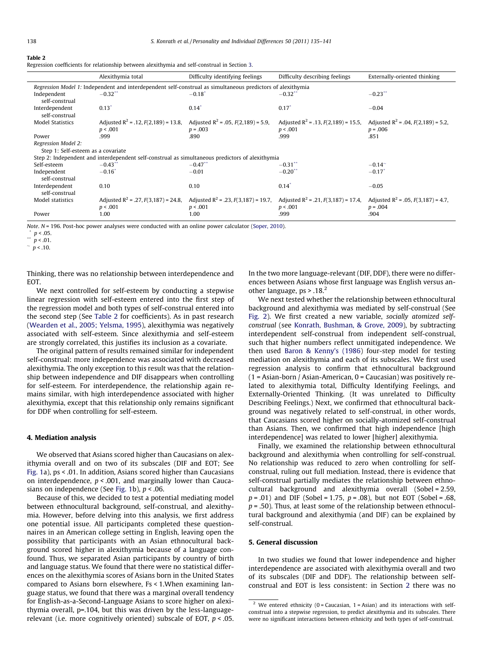#### <span id="page-3-0"></span>Table 2

|  | Regression coefficients for relationship between alexithymia and self-construal in Section 3. |  |  |  |  |
|--|-----------------------------------------------------------------------------------------------|--|--|--|--|
|  |                                                                                               |  |  |  |  |
|  |                                                                                               |  |  |  |  |
|  |                                                                                               |  |  |  |  |

|                                                                                                             | Alexithymia total                                                                               | Difficulty identifying feelings                                                                                            | Difficulty describing feelings           | Externally-oriented thinking            |  |  |  |
|-------------------------------------------------------------------------------------------------------------|-------------------------------------------------------------------------------------------------|----------------------------------------------------------------------------------------------------------------------------|------------------------------------------|-----------------------------------------|--|--|--|
| Regression Model 1: Independent and interdependent self-construal as simultaneous predictors of alexithymia |                                                                                                 |                                                                                                                            |                                          |                                         |  |  |  |
| Independent<br>self-construal                                                                               | $-0.32$ **                                                                                      | $-0.18$ <sup>*</sup>                                                                                                       | $-0.32$ **                               | $-0.23$ **                              |  |  |  |
| Interdependent<br>self-construal                                                                            | $0.13*$                                                                                         | $0.14^*$                                                                                                                   | $0.17^*$                                 | $-0.04$                                 |  |  |  |
| <b>Model Statistics</b>                                                                                     |                                                                                                 | Adjusted $R^2$ = .12, $F(2,189)$ = 13.8, Adjusted $R^2$ = .05, $F(2,189)$ = 5.9,                                           | Adjusted $R^2$ = .13, $F(2,189)$ = 15.5, | Adjusted $R^2$ = .04, $F(2,189)$ = 5.2, |  |  |  |
|                                                                                                             | p < .001                                                                                        | $p = .003$                                                                                                                 | p < .001                                 | $p = .006$                              |  |  |  |
| Power                                                                                                       | .999                                                                                            | .890                                                                                                                       | .999                                     | .851                                    |  |  |  |
| <b>Regression Model 2:</b>                                                                                  |                                                                                                 |                                                                                                                            |                                          |                                         |  |  |  |
| Step 1: Self-esteem as a covariate                                                                          |                                                                                                 |                                                                                                                            |                                          |                                         |  |  |  |
|                                                                                                             | Step 2: Independent and interdependent self-construal as simultaneous predictors of alexithymia |                                                                                                                            |                                          |                                         |  |  |  |
| Self-esteem                                                                                                 | $-0.43$                                                                                         | $-0.47$ **                                                                                                                 | $-0.31$                                  | $-0.14^{\sim}$                          |  |  |  |
| Independent<br>self-construal                                                                               | $-0.16$ <sup>*</sup>                                                                            | $-0.01$                                                                                                                    | $-0.20$                                  | $-0.17$ <sup>*</sup>                    |  |  |  |
| Interdependent<br>self-construal                                                                            | 0.10                                                                                            | 0.10                                                                                                                       | $0.14^*$                                 | $-0.05$                                 |  |  |  |
| Model statistics                                                                                            |                                                                                                 | Adjusted $R^2$ = .27, $F(3,187)$ = 24.8, Adjusted $R^2$ = .23, $F(3,187)$ = 19.7, Adjusted $R^2$ = .21, $F(3,187)$ = 17.4, |                                          | Adjusted $R^2$ = .05, $F(3,187)$ = 4.7, |  |  |  |
|                                                                                                             | p < .001                                                                                        | p < .001                                                                                                                   | p < .001                                 | $p = .004$                              |  |  |  |
| Power                                                                                                       | 1.00                                                                                            | 1.00                                                                                                                       | .999                                     | .904                                    |  |  |  |

Note. N = 196. Post-hoc power analyses were conducted with an online power calculator [\(Soper, 2010\)](#page-6-0).

Thinking, there was no relationship between interdependence and EOT.

We next controlled for self-esteem by conducting a stepwise linear regression with self-esteem entered into the first step of the regression model and both types of self-construal entered into the second step (See Table 2 for coefficients). As in past research ([Wearden et al., 2005; Yelsma, 1995\)](#page-6-0), alexithymia was negatively associated with self-esteem. Since alexithymia and self-esteem are strongly correlated, this justifies its inclusion as a covariate.

The original pattern of results remained similar for independent self-construal: more independence was associated with decreased alexithymia. The only exception to this result was that the relationship between independence and DIF disappears when controlling for self-esteem. For interdependence, the relationship again remains similar, with high interdependence associated with higher alexithymia, except that this relationship only remains significant for DDF when controlling for self-esteem.

## 4. Mediation analysis

We observed that Asians scored higher than Caucasians on alexithymia overall and on two of its subscales (DIF and EOT; See [Fig. 1a](#page-4-0)), ps < .01. In addition, Asians scored higher than Caucasians on interdependence,  $p < .001$ , and marginally lower than Cauca-sians on independence (See [Fig. 1b](#page-4-0)),  $p < .06$ .

Because of this, we decided to test a potential mediating model between ethnocultural background, self-construal, and alexithymia. However, before delving into this analysis, we first address one potential issue. All participants completed these questionnaires in an American college setting in English, leaving open the possibility that participants with an Asian ethnocultural background scored higher in alexithymia because of a language confound. Thus, we separated Asian participants by country of birth and language status. We found that there were no statistical differences on the alexithymia scores of Asians born in the United States compared to Asians born elsewhere, Fs < 1.When examining language status, we found that there was a marginal overall tendency for English-as-a-Second-Language Asians to score higher on alexithymia overall, p=.104, but this was driven by the less-languagerelevant (i.e. more cognitively oriented) subscale of EOT,  $p < .05$ .

In the two more language-relevant (DIF, DDF), there were no differences between Asians whose first language was English versus another language, ps > .18.<sup>2</sup>

We next tested whether the relationship between ethnocultural background and alexithymia was mediated by self-construal (See [Fig. 2\)](#page-5-0). We first created a new variable, socially atomized selfconstrual (see [Konrath, Bushman, & Grove, 2009\)](#page-5-0), by subtracting interdependent self-construal from independent self-construal, such that higher numbers reflect unmitigated independence. We then used [Baron & Kenny's \(1986](#page-5-0)) four-step model for testing mediation on alexithymia and each of its subscales. We first used regression analysis to confirm that ethnocultural background  $(1 - Asian-born / Asian-American, 0 - Caucasian)$  was positively related to alexithymia total, Difficulty Identifying Feelings, and Externally-Oriented Thinking. (It was unrelated to Difficulty Describing Feelings.) Next, we confirmed that ethnocultural background was negatively related to self-construal, in other words, that Caucasians scored higher on socially-atomized self-construal than Asians. Then, we confirmed that high independence [high interdependence] was related to lower [higher] alexithymia.

Finally, we examined the relationship between ethnocultural background and alexithymia when controlling for self-construal. No relationship was reduced to zero when controlling for selfconstrual, ruling out full mediation. Instead, there is evidence that self-construal partially mediates the relationship between ethnocultural background and alexithymia overall (Sobel = 2.59,  $p = .01$ ) and DIF (Sobel = 1.75,  $p = .08$ ), but not EOT (Sobel = .68,  $p = .50$ ). Thus, at least some of the relationship between ethnocultural background and alexithymia (and DIF) can be explained by self-construal.

## 5. General discussion

In two studies we found that lower independence and higher interdependence are associated with alexithymia overall and two of its subscales (DIF and DDF). The relationship between selfconstrual and EOT is less consistent: in Section [2](#page-1-0) there was no

<sup>\*</sup>  $p < .05$ .

 $n < .01$ .

 $\sim$   $p$  < .10.

<sup>&</sup>lt;sup>2</sup> We entered ethnicity (0 = Caucasian, 1 = Asian) and its interactions with selfconstrual into a stepwise regression, to predict alexithymia and its subscales. There were no significant interactions between ethnicity and both types of self-construal.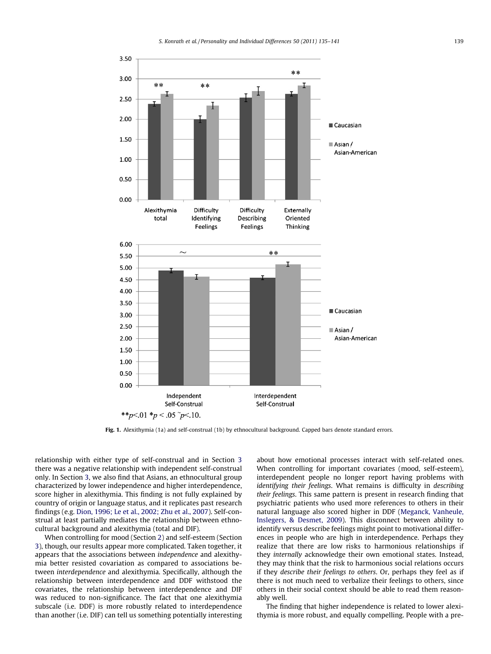<span id="page-4-0"></span>

Fig. 1. Alexithymia (1a) and self-construal (1b) by ethnocultural background. Capped bars denote standard errors.

relationship with either type of self-construal and in Section [3](#page-2-0) there was a negative relationship with independent self-construal only. In Section [3,](#page-2-0) we also find that Asians, an ethnocultural group characterized by lower independence and higher interdependence, score higher in alexithymia. This finding is not fully explained by country of origin or language status, and it replicates past research findings (e.g. [Dion, 1996; Le et al., 2002; Zhu et al., 2007\)](#page-5-0). Self-construal at least partially mediates the relationship between ethnocultural background and alexithymia (total and DIF).

When controlling for mood (Section [2](#page-1-0)) and self-esteem (Section [3](#page-2-0)), though, our results appear more complicated. Taken together, it appears that the associations between independence and alexithymia better resisted covariation as compared to associations between interdependence and alexithymia. Specifically, although the relationship between interdependence and DDF withstood the covariates, the relationship between interdependence and DIF was reduced to non-significance. The fact that one alexithymia subscale (i.e. DDF) is more robustly related to interdependence than another (i.e. DIF) can tell us something potentially interesting about how emotional processes interact with self-related ones. When controlling for important covariates (mood, self-esteem), interdependent people no longer report having problems with identifying their feelings. What remains is difficulty in describing their feelings. This same pattern is present in research finding that psychiatric patients who used more references to others in their natural language also scored higher in DDF [\(Meganck, Vanheule,](#page-6-0) [Inslegers, & Desmet, 2009](#page-6-0)). This disconnect between ability to identify versus describe feelings might point to motivational differences in people who are high in interdependence. Perhaps they realize that there are low risks to harmonious relationships if they internally acknowledge their own emotional states. Instead, they may think that the risk to harmonious social relations occurs if they describe their feelings to others. Or, perhaps they feel as if there is not much need to verbalize their feelings to others, since others in their social context should be able to read them reasonably well.

The finding that higher independence is related to lower alexithymia is more robust, and equally compelling. People with a pre-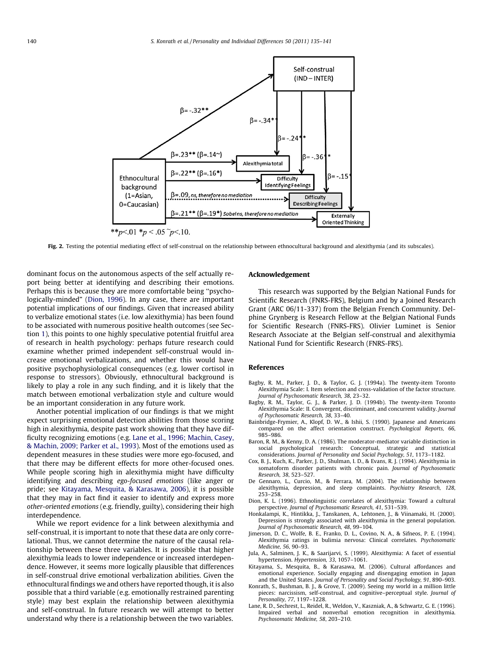<span id="page-5-0"></span>

Fig. 2. Testing the potential mediating effect of self-construal on the relationship between ethnocultural background and alexithymia (and its subscales).

dominant focus on the autonomous aspects of the self actually report being better at identifying and describing their emotions. Perhaps this is because they are more comfortable being ''psychologically-minded" (Dion, 1996). In any case, there are important potential implications of our findings. Given that increased ability to verbalize emotional states (i.e. low alexithymia) has been found to be associated with numerous positive health outcomes (see Section [1\)](#page-0-0), this points to one highly speculative potential fruitful area of research in health psychology: perhaps future research could examine whether primed independent self-construal would increase emotional verbalizations, and whether this would have positive psychophysiological consequences (e.g. lower cortisol in response to stressors). Obviously, ethnocultural background is likely to play a role in any such finding, and it is likely that the match between emotional verbalization style and culture would be an important consideration in any future work.

Another potential implication of our findings is that we might expect surprising emotional detection abilities from those scoring high in alexithymia, despite past work showing that they have difficulty recognizing emotions (e.g. Lane et al., 1996; Machin, Casey, & Machin, 2009; Parker et al., 1993). Most of the emotions used as dependent measures in these studies were more ego-focused, and that there may be different effects for more other-focused ones. While people scoring high in alexithymia might have difficulty identifying and describing ego-focused emotions (like anger or pride; see Kitayama, Mesquita, & Karasawa, 2006), it is possible that they may in fact find it easier to identify and express more other-oriented emotions (e.g. friendly, guilty), considering their high interdependence.

While we report evidence for a link between alexithymia and self-construal, it is important to note that these data are only correlational. Thus, we cannot determine the nature of the causal relationship between these three variables. It is possible that higher alexithymia leads to lower independence or increased interdependence. However, it seems more logically plausible that differences in self-construal drive emotional verbalization abilities. Given the ethnocultural findings we and others have reported though, it is also possible that a third variable (e.g. emotionally restrained parenting style) may best explain the relationship between alexithymia and self-construal. In future research we will attempt to better understand why there is a relationship between the two variables.

## Acknowledgement

This research was supported by the Belgian National Funds for Scientific Research (FNRS-FRS), Belgium and by a Joined Research Grant (ARC 06/11-337) from the Belgian French Community. Delphine Grynberg is Research Fellow at the Belgian National Funds for Scientific Research (FNRS-FRS). Olivier Luminet is Senior Research Associate at the Belgian self-construal and alexithymia National Fund for Scientific Research (FNRS-FRS).

#### References

- Bagby, R. M., Parker, J. D., & Taylor, G. J. (1994a). The twenty-item Toronto Alexithymia Scale: I. Item selection and cross-validation of the factor structure. Journal of Psychosomatic Research, 38, 23–32.
- Bagby, R. M., Taylor, G. J., & Parker, J. D. (1994b). The twenty-item Toronto Alexithymia Scale: II. Convergent, discriminant, and concurrent validity. Journal of Psychosomatic Research, 38, 33–40.
- Bainbridge-Frymier, A., Klopf, D. W., & Ishii, S. (1990). Japanese and Americans compared on the affect orientation construct. Psychological Reports, 66, 985–986.
- Baron, R. M., & Kenny, D. A. (1986). The moderator-mediator variable distinction in social psychological research: Conceptual, strategic and statistical considerations. Journal of Personality and Social Psychology, 51, 1173–1182.
- Cox, B. J., Kuch, K., Parker, J. D., Shulman, I. D., & Evans, R. J. (1994). Alexithymia in somatoform disorder patients with chronic pain. Journal of Psychosomatic Research, 38, 523–527.
- De Gennaro, L., Curcio, M., & Ferrara, M. (2004). The relationship between alexithymia, depression, and sleep complaints. Psychiatry Research, 128, 253–258.
- Dion, K. L. (1996). Ethnolinguistic correlates of alexithymia: Toward a cultural perspective. Journal of Psychosomatic Research, 41, 531–539.
- Honkalampi, K., Hintikka, J., Tanskanen, A., Lehtonen, J., & Viinamaki, H. (2000). Depression is strongly associated with alexithymia in the general population. Journal of Psychosomatic Research, 48, 99–104.
- Jimerson, D. C., Wolfe, B. E., Franko, D. L., Covino, N. A., & Sifneos, P. E. (1994). Alexithymia ratings in bulimia nervosa: Clinical correlates. Psychosomatic Medicine, 56, 90–93.
- Jula, A., Salminen, J. K., & Saarijarvi, S. (1999). Alexithymia: A facet of essential hypertension. Hypertension, 33, 1057–1061.
- Kitayama, S., Mesquita, B., & Karasawa, M. (2006). Cultural affordances and emotional experience. Socially engaging and disengaging emotion in Japan and the United States. Journal of Personality and Social Psychology, 91, 890–903.
- Konrath, S., Bushman, B. J., & Grove, T. (2009). Seeing my world in a million little pieces: narcissism, self-construal, and cognitive–perceptual style. Journal of Personality, 77, 1197–1228.
- Lane, R. D., Sechrest, L., Reidel, R., Weldon, V., Kaszniak, A., & Schwartz, G. E. (1996). Impaired verbal and nonverbal emotion recognition in alexithymia. Psychosomatic Medicine, 58, 203–210.